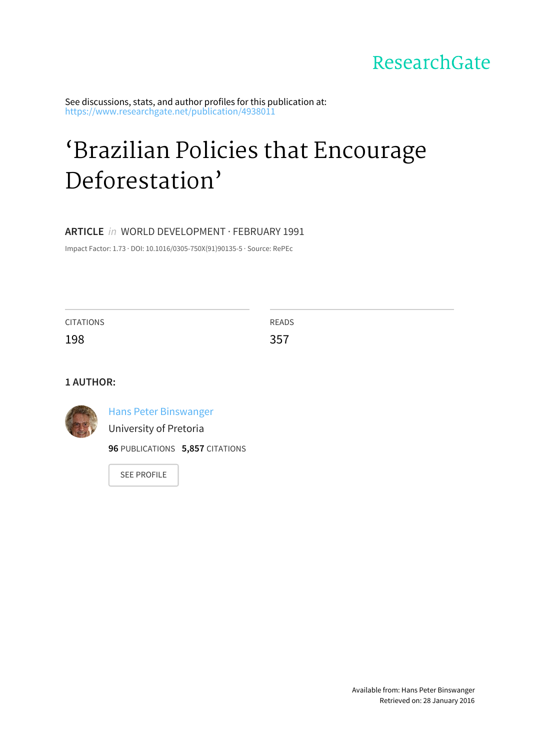# ResearchGate

See discussions, stats, and author profiles for this publication at: [https://www.researchgate.net/publication/4938011](https://www.researchgate.net/publication/4938011_%27Brazilian_Policies_that_Encourage_Deforestation%27?enrichId=rgreq-91321a5c-7ace-4dde-8634-5a37973d428a&enrichSource=Y292ZXJQYWdlOzQ5MzgwMTE7QVM6MTI3MTgyMDE3OTI5MjE2QDE0MDczMzM5NjQ0Njk%3D&el=1_x_2)

# 'Brazilian Policies that Encourage [Deforestation'](https://www.researchgate.net/publication/4938011_%27Brazilian_Policies_that_Encourage_Deforestation%27?enrichId=rgreq-91321a5c-7ace-4dde-8634-5a37973d428a&enrichSource=Y292ZXJQYWdlOzQ5MzgwMTE7QVM6MTI3MTgyMDE3OTI5MjE2QDE0MDczMzM5NjQ0Njk%3D&el=1_x_3)

# **ARTICLE** in WORLD DEVELOPMENT · FEBRUARY 1991

Impact Factor: 1.73 · DOI: 10.1016/0305-750X(91)90135-5 · Source: RePEc

CITATIONS 198

READS 357

# **1 AUTHOR:**



Hans Peter [Binswanger](https://www.researchgate.net/profile/Hans_Binswanger?enrichId=rgreq-91321a5c-7ace-4dde-8634-5a37973d428a&enrichSource=Y292ZXJQYWdlOzQ5MzgwMTE7QVM6MTI3MTgyMDE3OTI5MjE2QDE0MDczMzM5NjQ0Njk%3D&el=1_x_5)

[University](https://www.researchgate.net/institution/University_of_Pretoria?enrichId=rgreq-91321a5c-7ace-4dde-8634-5a37973d428a&enrichSource=Y292ZXJQYWdlOzQ5MzgwMTE7QVM6MTI3MTgyMDE3OTI5MjE2QDE0MDczMzM5NjQ0Njk%3D&el=1_x_6) of Pretoria

**96** PUBLICATIONS **5,857** CITATIONS

SEE [PROFILE](https://www.researchgate.net/profile/Hans_Binswanger?enrichId=rgreq-91321a5c-7ace-4dde-8634-5a37973d428a&enrichSource=Y292ZXJQYWdlOzQ5MzgwMTE7QVM6MTI3MTgyMDE3OTI5MjE2QDE0MDczMzM5NjQ0Njk%3D&el=1_x_7)

Available from: Hans Peter Binswanger Retrieved on: 28 January 2016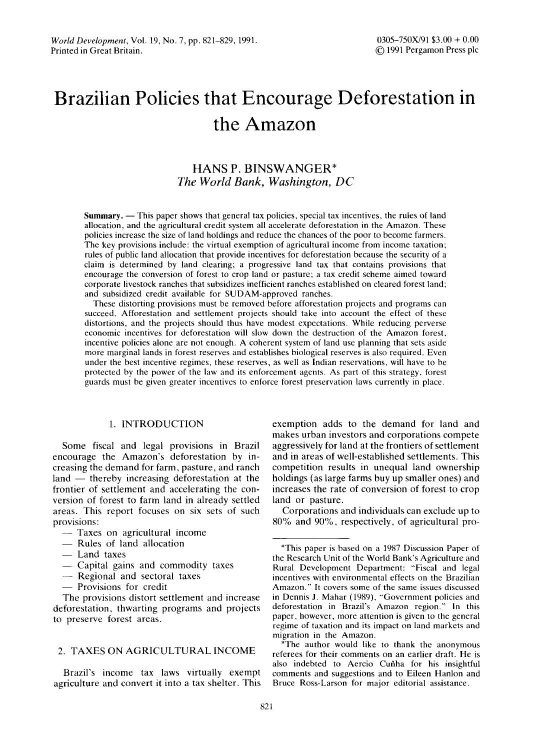# **Brazilian Policies that Encourage Deforestation in the Amazon**

# HANS **P.** BINSWANGER\* *The World Bank, Washington, DC*

**Summary.**  $\overline{\phantom{a}}$  This paper shows that general tax policies, special tax incentives, the rules of land allocation, and the agricultural credit system all accelerate deforestation in the Amazon. These policies increase the size of land holdings and reduce the chances of the poor to become farmers. The key provisions include: the virtual exemption of agricultural income from income taxation; rules of public land allocation that provide incentives for deforestation because the security of a claim is determined by land clearing; a progressive land tax that contains provisions that encourage the conversion of forest to crop land or pasture; a tax credit scheme aimed toward corporate livestock ranches that subsidizes inefficient ranches established on cleared forest land; and subsidized credit available for SUDAM-approved ranches.

These distorting provisions must be removed before afforestation projects and programs can succeed. Afforestation and settlement projects should take into account the effect of these distortions, and the projects should thus have modest expectations. While reducing perverse economic incentives for deforestation will slow down the destruction of the Amazon forest, incentive policies alone are not enough. A coherent system of land use planning that sets aside more marginal lands in forest reserves and establishes biological reserves is also required. Even under the best incentive regimes, these reserves, as well as Indian reservations, will have to be protected by the power of the law and its enforcement agents. As part of this strategy, forest guards must be given greater incentives to enforce forest preservation laws currently in place.

#### 1. INTRODUCTION

Some fiscal and legal provisions in Brazil encourage the Amazon's deforestation by increasing the demand for farm, pasture, and ranch  $land$  -- thereby increasing deforestation at the frontier of settlement and accelerating the conversion of forest to farm land in already settled areas. This report focuses on six sets of such provisions:

- -- Taxes on agricultural income
- -- Rules of land allocation
- Land taxes
- -- Capital gains and commodity taxes
- -- Regional and sectoral taxes
- Provisions for credit

The provisions distort settlement and increase deforestation, thwarting programs and projects to preserve forest areas.

# 2. TAXES ON AGRICULTURAL INCOME

Brazil's income tax laws virtually exempt agriculture and convert it into a tax shelter. This exemption adds to the demand for land and makes urban investors and corporations compete aggressively for land at the frontiers of settlement and in areas of well-established settlements. This competition results in unequal land ownership holdings (as large farms buy up smaller ones) and increases the rate of conversion of forest to crop land or pasture.

Corporations and individuals can exclude up to 80% and 90%, respectively, of agricultural pro-

<sup>\*</sup>This paper is based on a 1987 Discussion Paper of the Research Unit of the World Bank's Agriculture and Rural Development Department: "Fiscal and legal incentives with environmental effects on the Brazilian Amazon.'" It covers some of the same issues discussed in Dennis J. Mahar (1989), "Government policies and deforestation in Brazil's Amazon region." in this paper, however, more attention is given to the general regime of taxation and its impact on land markets and migration in the Amazon.

<sup>\*</sup>The author would like to thank the anonymous referees for their comments on an earlier draft. He is also indebted to Aercio Cuñha for his insightful comments and suggestions and to Eileen Hanlon and Bruce Ross-Larson for major editorial assistance.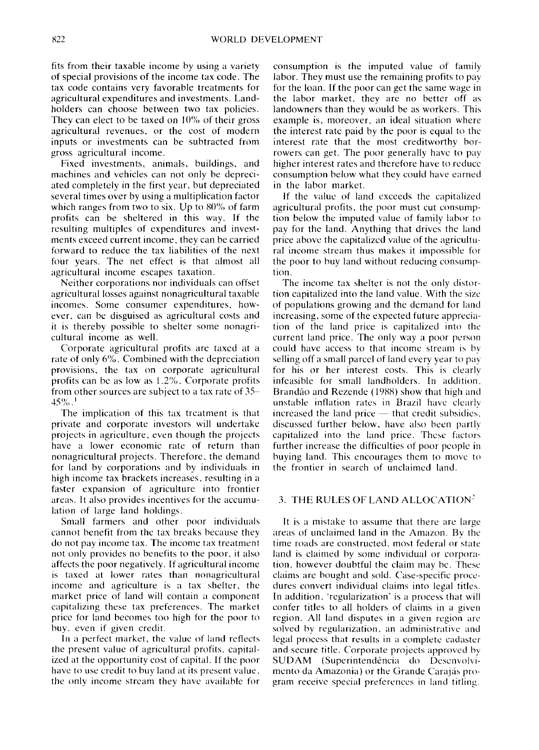fits from their taxable income by using a variety of special provisions of the income tax code. The tax code contains very favorable treatments for agricultural expenditures and investments. Landholders can choose between two tax policies. They can elect to be taxed on 10% of their gross agricultural revenues, or the cost of modern inputs or investments can be subtracted from gross agricultural income.

Fixed investments, animals, buildings, and machines and vehicles can not only be depreciated completely in the first year, but depreciated several times over by using a multiplication factor which ranges from two to six. Up to 80% of farm profits can be sheltered in this way. If the resulting multiples of expenditures and investments exceed current income, they can be carried forward to reduce the tax liabilities of the next four years. The net effect is that almost all agricultural income escapes taxation.

Neither corporations nor individuals can offset agricultural losses against mmagricultural taxable incomes. Some consumer expenditures, however, can be disguised as agricultural costs and it is thereby possible to shelter some nonagricultural income as well.

Corporate agricultural profits are taxed at a rate of only 6%. Combined with the depreciation provisions, the tax on corporate agricultural profits can be as low as 1.2%. Corporate profits from other sources are subject to a tax ratc of 35 *45%. i* 

The implication of this tax treatment is that private and corporate investors will undertake projects in agriculture, even though the projects have a lower economic rate of return than nonagricultural projects. Therefore, the demand for land by corporations and by individuals in high income tax brackets increases, resulting in a faster expansion of agriculture into frontier areas. It also provides incentives for the accumulation of large land holdings.

Small farmers and other poor individuals cannot benefit from the tax breaks because they do not pay income tax. The income tax treatment not only provides no bencfits to the poor, it also affects the poor negatively. If agricultural income is taxed at lower rates than nonagricultural income and agriculture is a tax shelter, the market price of land will contain a component capitalizing these tax preferences. The market price for land becomes too high for the poor to buy, even if given credit.

In a perfect market, the value of land reflects the present value of agricultural profits, capitalized at the opportunity cost of capital. If the poor have to use credit to buy land at its present value, the only income stream they have available for consumption is the imputed value of family labor. They must use the remaining profits to pay for the loan. If the poor can get the same wage in the labor market, they are no better off as landowners than they would be as workers. This example is, moreover, an ideal situation where the interest rate paid by the poor is equal to the interest rate that the most creditworthy borrowers can get. The poor generally have to pay higher interest rates and therefore have to reduce consumption below what they could have earned in the labor market.

If the value of land exceeds the capitalized agricultural profits, the poor must cut consumption below the imputed value of family labor to pay for the land. Anything that drives the land price above the capitalized value of the agricultural income stream thus makes it impossible for the poor to buy land without reducing consumption.

The income tax shelter is not the only distortion capitalized into the land value. With the size of populations growing and the demand for land increasing, some of the expected future appreciation of the land price is capitalized into the current land price. The only way a poor person could have access to that income stream is bv selling off a small parcel of land every year to pay for his or her interest costs. This is clearly infeasible for small landholders. In addition, Brandão and Rezende (1988) show that high and unstable inflation rates in Brazil have cleartv increased the land price  $-$  that credit subsidies, discussed further below, have also been partly capitalized into the land price. These factors further increase the difficulties of poor people in buying land. This encourages them to movc to the frontier in search of unclaimed land.

# 3. THE RULES OF LAND ALLOCATION<sup>2</sup>

It is a mistake to assume that there are large areas of unclaimed land in the Amazon. By the time roads are constructed, most federal or state land is claimed by some individual or corporation, however doubtful the claim may be. These claims are bought and sold. Case-specific procedures convert individual claims into legal titles. In addition, 'regularization' is a process that will confer titles to all holders of claims in a given region. All land disputes in a given region are solved by regularization, an administrative and legal process that results in a complete cadaster and secure title. Corporate projects approved bv SUDAM (Superintendência do Desenvolvimento da Amazonia) or the Grande Carajás program receive special preferences in land titling.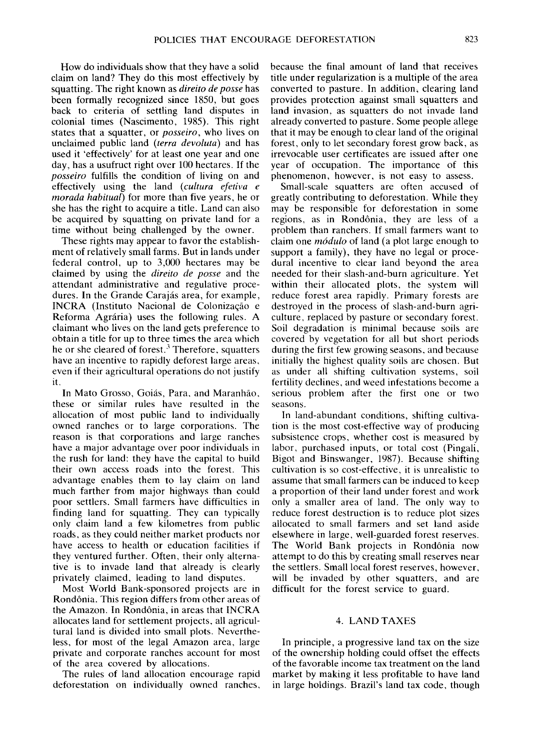How do individuals show that they have a solid claim on land? They do this most effectively by squatting. The right known as *direito de posse* has been formally recognized since 1850, but goes back to criteria of settling land disputes in colonial times (Nascimento, 1985). This right states that a squatter, or *posseiro,* who lives on unclaimed public land *(terra devoluta)* and has used it 'effectively' for at least one year and one day, has a usufruct right over 100 hectares. If the *posseiro* fulfills the condition of living on and effectively using the land *(cultura efetiva e morada habitual)* for more than five years, he or she has the right to acquire a title. Land can also be acquired by squatting on private land for a time without being challenged by the owner.

These rights may appear to favor the establishment of relatively small farms. But in lands under federal control, up to 3,000 hectares may be claimed by using the *direito de posse* and the attendant administrative and regulative procedures. In the Grande Carajás area, for example, INCRA (Instituto Nacional de Colonização e Reforma Agrária) uses the following rules. A claimant who lives on the land gets preference to obtain a title for up to three times the area which he or she cleared of forest.<sup>3</sup> Therefore, squatters have an incentive to rapidly deforest large areas, even if their agricultural operations do not justify it,

In Mato Grosso, Goiás, Para, and Maranhão, these or similar rules have resulted in the allocation of most public land to individually owned ranches or to large corporations. The reason is that corporations and large ranches have a major advantage over poor individuals in the rush for land: they have the capital to build their own access roads into the forest. This advantage enables them to lay claim on land much farther from major highways than could poor settlers. Small farmers have difficulties in finding land for squatting. They can typically only claim land a few kilometres from public roads, as they could neither market products nor have access to health or education facilities if they ventured further. Often, their only alternative is to invade land that already is clearly privately claimed, leading to land disputes.

Most World Bank-sponsored projects are in Rond6nia. This region differs from other areas of the Amazon. In Rond6nia, in areas that INCRA allocates land for settlement projects, all agricultural land is divided into small plots. Nevertheless, for most of the legal Amazon area, large private and corporate ranches account for most of the area covered by allocations.

The rules of land allocation encourage rapid deforestation on individually owned ranches,

because the final amount of land that receives title under regularization is a multiple of the area converted to pasture. In addition, clearing land provides protection against small squatters and land invasion, as squatters do not invade land already converted to pasture. Some people allege that it may be enough to clear land of the original forest, only to let secondary forest grow back, as irrevocable user certificates are issued after one year of occupation. The importance of this phenomenon, however, is not easy to assess.

Small-scale squatters are often accused of greatly contributing to deforestation. While they may be responsible for deforestation in some regions, as in Rond6nia, they are less of a problem than ranchers. If small farmers want to claim one *m6dulo* of land (a plot large enough to support a family), they have no legal or procedural incentive to clear land beyond the area needed for their slash-and-burn agriculture. Yet within their allocated plots, the system will reduce forest area rapidly. Primary forests are destroyed in the process of slash-and-burn agriculture, replaced by pasture or secondary forest. Soil degradation is minimal because soils are covered by vegetation for all but short periods during the first few growing seasons, and because initially the highest quality soils are chosen. But as under all shifting cultivation systems, soil fertility declines, and weed infestations become a serious problem after the first one or two seasons.

In land-abundant conditions, shifting cultivation is the most cost-effective way of producing subsistence crops, whether cost is measured by labor, purchased inputs, or total cost (Pingali, Bigot and Binswanger, 1987). Because shifting cultivation is so cost-effective, it is unrealistic to assume that small farmers can be induced to keep a proportion of their land under forest and work only a smaller area of land. The only way to reduce forest destruction is to reduce plot sizes allocated to small farmers and set land aside elsewhere in large, well-guarded forest reserves. The World Bank projects in Rond6nia now attempt to do this by creating small reserves near the settlers. Small local forest reserves, however, will be invaded by other squatters, and are difficult for the forest service to guard.

#### 4. LAND TAXES

In principle, a progressive land tax on the size of the ownership holding could offset the effects of the favorable income tax treatment on the land market by making it less profitable to have land in large holdings. Brazil's land tax code, though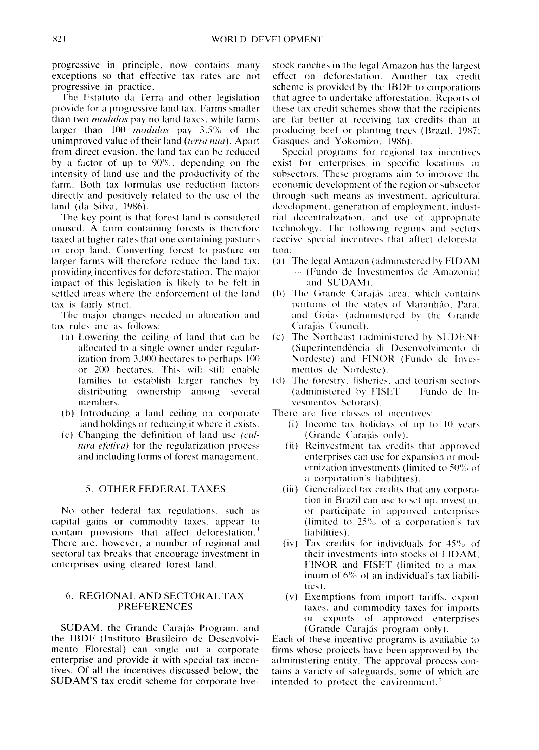progressive in principle, now contains many exceptions so that effective tax rates are not progressive in practice.

The Estatuto da Terra and other legislation provide for a progressive land tax. Farms smaller than two *modulos* pay no land taxes, while farms larger than 100 *modulos* pay 3.5% of the unimproved value of their land *(terra nua).* Apart from direct evasion, the land tax can be reduced by a factor of up to 90%, depending on the intensity of land use and the productivity of the farm. Both tax formulas use reduction factors directly and positively related to thc usc of thc **land** (da Silva, **1986).** 

The key point is that forest land is considered unused. A farm containing forests is thereforc taxed at higher rates that one containing pasturcs or crop land. Converting forest to pasture on larger farms will therefore reduce the land tax. providing incentives for deforestation. The major impact of this legislation is likely to be felt m settled areas where the enforcement of the land tax is fairly strict.

The major changes needed in allocation and tax rules arc as follows:

- (a) Lowering the ceiling of land that can be allocated to a single owner undcr regularization from  $3,000$  hectares to perhaps  $100$ or 200 hectares. This will still enable families to establish larger ranches by distributing ownership among several members.
- (b) Introducing a land ceiling on corporate land holdings or reducing it where it cxists.
- (c) Changing the definition of land use *(cultura efetiva*) for the regularization process and including forms of forest management.

# 5. OTHER FEDERAL TAXES

No other federal tax regulations, such as capital gains or commodity taxes, appear to contain provisions that affect deforestation. $<sup>4</sup>$ </sup> There are, however, a number of regional and sectoral tax breaks that encourage investment **in enterprises using cleared forest land.** 

## **6.** REGIONAL AND SECTORAL TAX PREFERENCES

SUDAM, the Grande Carajás Program, and the IBDF (Instituto Brasileiro de Desenvolvimento **Florestal) can single out a corporate enterprise and provide it with special tax incentives. Of all the incentives discussed below, the SUDAM'S tax credit scheme for corporate live-**

stock ranches in the legal Amazon has the largest effect on deforestation. Another tax credit scheme is provided by the IBDF to corporations that agree to undertake afforestation. Reports of these tax credit schemes show that the recipients are far better at receiving tax credits than at producing beef or planting trees (Brazil. 1987. Gasques and Yokomizo, 1986).

Special programs for regional tax incentives exist for enterprises in specific locations or subsectors. These programs aim to improve the economic development of the region or subsector through such means as investment, agricultural development, generation of employment, industrial decentralization, and use of appropriate technology. The following regions and sectors receive special mcentives that affect deforestation:

- ta) The legal Amazon (administered bv FIDAM (Fundo de lnvestmentos de Amazonia)  $-$  and SUDAM).
- (b) The Grande Carajás area, which contains portions of the states of Maranhão, Para. and Goiás (administered by the Grande Carajás Council).
- (c) The Northeast (administered by SUDENE (Superintendência di Desenvolvimento di Nordeste) and FINOR (Fundo de Invesmcntos dc Nordeste).
- (d) The forestry, fisheries, and tourism sectors (administered by  $FISET$  - Fundo de Invesnlcntos Sctorais).
- There are five classes of incentives:
	- $(i)$  Income tax holidays of up to  $10$  years (Grande Carajás only).
	- (ii) Reinvestment tax credits that approved cnterprises can usc for cxpansion or modernization investments (limited to *50%* ol a corporation's liabilities).
	- (iii) Generalized tax credits that any corporation in Brazil can use to set up, invest in, or participate in approved enterprises (limited to  $25\%$  of a corporation's tax liabilities).
	- (iv) Tax credits for individuals for 45% of their investments into stocks of FIDAM, FINOR and FISET (limited to a maximum of *6%* of an individual's tax liabilities).
	- (v) Exemptions from import tariffs, export taxes, and commodity taxes for imports or exports of approved enterprises (Grande Carajás program only).

Each of these incentive programs is available to firms whose projects have been approved by thc administering entity. The approval process contains a variety of safeguards, some of which arc intended to protect the environment. $<sup>5</sup>$ </sup>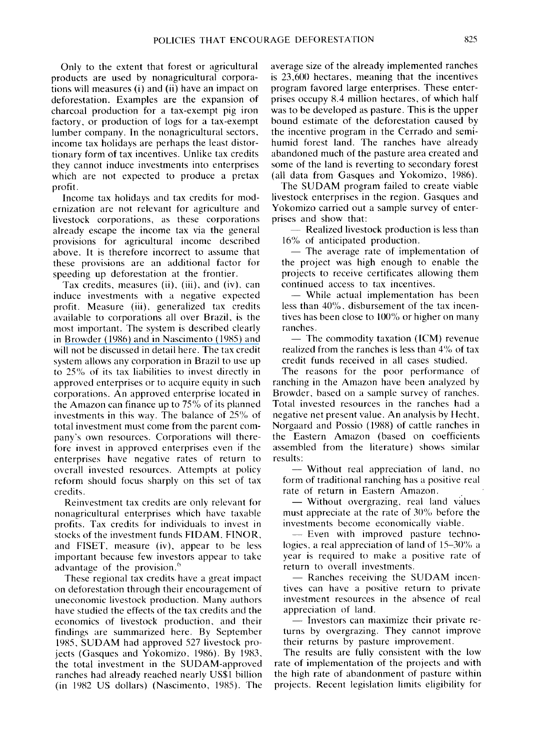Only to the extent that forest or agricultural products are used by nonagricultural corporations will measures (i) and (ii) have an impact on deforestation. Examples are the expansion of charcoal production for a tax-exempt pig iron factory, or production of logs for a tax-exempt lumber company. In the nonagricultural sectors, income tax holidays are perhaps the least distortionary form of tax incentives. Unlike tax credits they cannot induce investments into enterprises which are not expected to produce a pretax profit.

Income tax holidays and tax credits for modernization are not relevant for agriculture and livestock corporations, as these corporations already escape the income tax via the general provisions for agricultural income described above. It is therefore incorrect to assume that these provisions are an additional factor for speeding up deforestation at the frontier.

Tax credits, measures (ii), (iii), and (iv), can induce investments with a negative expected profit. Measure (iii), generalized tax credits awfilable to corporations all over Brazil, is the most important. The system is described clearly in Browder (1986) and in Nascimento  $(1985)$  and will not be discussed in detail here. The tax credit system allows any corporation in Brazil to use up to 25% of its tax liabilities to invest directly in approved enterprises or to acquire equity in such corporations. An approved enterprise located in the Amazon can finance up to 75% of its planned investments in this way. The balance of 25% of total investment must come from the parent company's own resources. Corporations will therefore invest in approved enterprises even if the enterprises have negative rates of return to overall invested resources. Attempts at policy reform should focus sharply on this set of tax credits.

Remvestment tax credits are only relevant for nonagricultural enterprises which havc taxable profits. Tax credits for individuals to invest in stocks of the investment funds FIDAM, FINOR, and FISET, measure (iv), appear to be less important because few investors appear to take advantage of the provision. $<sup>6</sup>$ </sup>

These regional tax credits have a great impact on deforestation through their encouragement of uneconomic livestock production. Many authors have studied the effects of the tax credits and the economics of livestock production, and their findings are summarized here. By September 1985, SUDAM had approved 527 livestock projects (Gasques and Yokomizo, 1986). By 1983, the total investment in the SUDAM-approved ranches had already reached nearly US\$1 billion (in 1982 US dollars) (Nascimento, 1985). The average size of the already implemented ranches is 23,600 hectares, meaning that the incentives program favored large enterprises. These enterprises occupy 8.4 million hectares, of which half was to be developed as pasture. This is the upper bound estimate of the deforestation caused by the incentive program in the Cerrado and semihumid forest land. The ranches have already abandoned much of the pasture area created and some of the land is reverting to secondary forest (all data from Gasques and Yokomizo, 1986).

The SUDAM program failed to create viable livestock enterprises in the region. Gasques and Yokomizo carried out a sample survey of enterprises and show that:

**--** Realized livestock production is less than 16% of anticipated production.

- The average rate of implementation of the project was high enough to enable the projects to receive certificates allowing them continued access to tax incentives.

 $-$  While actual implementation has been less than 40%, disbursement of the tax incentives has been close to 100% or higher on many ranches.

- The commodity taxation (ICM) revenue realized from the ranches is less than 4% of tax credit funds received in all cases studied.

The reasons for the poor performance of ranching in the Amazon have been analyzed by Browder, based on a sample survey of ranches. Total invested resources in the ranches had a negative net present value. An analysis by Hecht, Norgaard and Possio (1988) of cattle ranches in the Eastern Amazon (based on coefficients assembled from the literature) shows similar results:

**--** Without real appreciation of land, no form of traditional ranching has a positive real rate of return in Eastern Amazon.

--Without overgrazing, real land values must appreciate at the rate of 30% before the investments become economically viable.

**--Even** with improved pasture technologies, a real appreciation of land of  $15-30\%$  a year is required to make a positive rate of return to overall investments.

 $-$  Ranches receiving the SUDAM incentives can have a positive return to private investment resources in the absence of real appreciation of land.

**--** Investors can maximize their private returns by overgrazing. They cannot improve their returns by pasture improvement.

The results are fully consistent with the low rate of implementation of the projects and with the high rate of abandonment of pasture within projects. Recent legislation limits eligibility for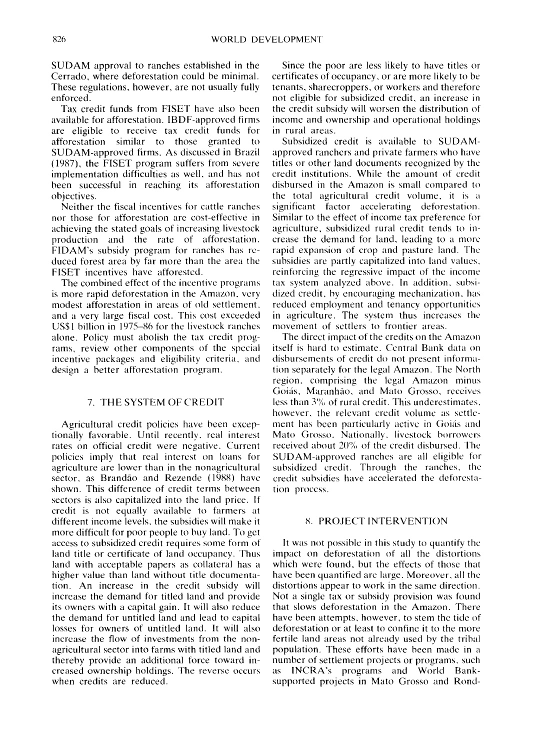SUDAM approval to ranches established in the Cerrado, where deforestation could be minimal. These regulations, however, are not usually fully enforced.

Tax credit funds from FISET have also been available for afforestation. IBDF-approved firms are eligible to receive tax credit funds for afforestation similar to those granted to SUDAM-approved firms. As discussed in Brazil (1987), the FISET program suffers from severe implementation difficulties as well, and has not been successful in reaching its afforestation objectives.

Neither the fiscal incentives for cattle ranches nor those for afforestation are cost-effective in achieving the stated goals of increasing livestock production and the rate of afforestation. FIDAM's subsidy program for ranches has reduced forest area by far more than the area the FISET incentives have afforested.

The combined effect of the incentive programs is more rapid deforestation in the Amazon, very modest afforestation in areas of old settlement, and a very large fiscal cost. This cost exceeded US\$1 billion in 1975-86 for the livestock ranches alone. Policy must abolish the tax credit programs, review other components of the special incentive packages and eligibility criteria, and design a better afforestation program.

# 7. THE SYSTEM OF CREDIT

Agricultural credit policies have been exceptionally favorable. Until recently, real interest rates on official credit were negative. Current policies imply that real interest on loans for agriculture are lower than in the nonagricultural sector, as Brandão and Rezende (1988) have shown. This difference of credit terms between sectors is also capitalized into the land price. If credit is not equally available to farmers at different income levels, the subsidies will make it more difficult for poor people to buy land. To get access to subsidized credit requires some form of land title or certificate of land occupancy. Thus land with acceptable papers as collateral has a higher value than land without title documentation. An increase in the credit subsidy will increase the demand for titled land and provide its owners with a capital gain. It will also reduce the demand for untitled land and lead to capital losses for owners of untitled land. It will also increase the flow of investments from the nonagricultural sector into farms with titled land and thereby provide an additional force toward increased ownership holdings. The reverse occurs when credits are reduced.

Since the poor are less likely to have titles or certificates of occupancy, or are more likely to be tenants, sharecroppers, or workers and therefore not eligible for subsidized credit, an increase in the credit subsidy will worsen the distribution of income and ownership and operational holdings in rural areas.

Subsidized credit is available to SUDAMapproved ranchers and private farmers who have titles or other land documents recognized by the credit institutions. While the amount of credit disbursed in the Amazon is small compared to the total agricultural credit volume, it is a significant factor accelerating deforestation. Similar to the effect of income tax preference for agriculture, subsidized rural credit tends to increase the demand for land, leading to a more rapid expansion of crop and pasture land. The subsidies are partly capitalized into land values, reinforcing the regressive impact of the income tax system analyzed above. In addition, subsidized credit, by encouraging mechanization, has reduced employment and tenancy opportunities in agriculture. The system thus increases the movement of settlers to frontier areas.

The direct impact of the credits on the Amazon itself is hard to estimate. Central Bank data on disbursements of credit do not present information separately for the legal Amazon. The North region, comprising the legal Amazon minus Goiás, Maranhão, and Mato Grosso, receives less than 3% of rural credit. This underestimates, however, the relewmt credit volume as settlement has been particularly active in Goiás and Mato Grosso. Nationally, livestock borrowers received about 20% of the credit disbursed. Fhe SUDAM-approved ranches are all eligible for subsidized credit. Through the ranches, the credit subsidies have accelerated the deforcslation process.

# 8. PROJECT INTERVENTION

It was not possible in this study to quantify the impact on deforestation of all the distortions which were found, but the effects of those that have been quantified are large. Moreover, all the distortions appear to work in the same direction. Not a single tax or subsidy provision was found that slows deforestation in the Amazon. There have been attempts, however, to stem the tide of deforestation or at least to confine it to the more fertile land areas not already used by the tribal population. These efforts have been made in a number of settlement projects or programs, such as INCRA's programs and World Banksupported projects in Mato Grosso and Rond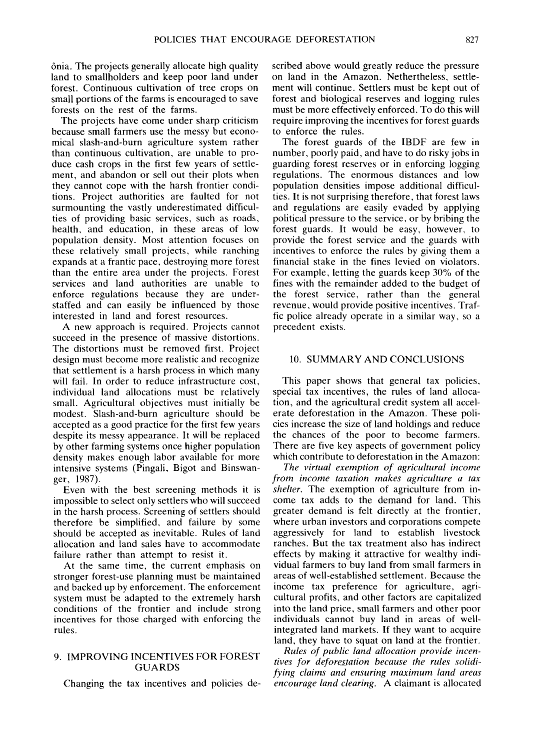6nia. The projects generally allocate high quality land to smallholders and keep poor land under forest. Continuous cultivation of tree crops on small portions of the farms is encouraged to save forests on the rest of the farms.

The projects have come under sharp criticism because small farmers use the messy but economical slash-and-burn agriculture system rather than continuous cultivation, are unable to produce cash crops in the first few years of settlement, and abandon or sell out their plots when they cannot cope with the harsh frontier conditions. Project authorities are faulted for not surmounting the vastly underestimated difficulties of providing basic services, such as roads, health, and education, in these areas of low population density. Most attention focuses on these relatively small projects, while ranching expands at a frantic pace, destroying more forest than the entire area under the projects. Forest services and land authorities are unable to enforce regulations because they are understaffed and can easily be influenced by those interested in land and forest resources.

A new approach is required. Projects cannot succeed in the presence of massive distortions. The distortions must be removed first. Project design must become more realistic and recognize that settlement is a harsh process in which many will fail. In order to reduce infrastructure cost, individual land allocations must be relatively small. Agricultural objectives must initially be modest. Slash-and-burn agriculture should be accepted as a good practice for the first few years despite its messy appearance. It will be replaced by other farming systems once higher population density makes enough labor available for more intensive systems (Pingali, Bigot and Binswanger, 1987).

Even with the best screening methods it is impossible to select only settlers who will succeed in the harsh process. Screening of settlers should therefore be simplified, and failure by some should be accepted as inevitable. Rules of land allocation and land sales have to accommodate failure rather than attempt to resist it.

At the same time, the current emphasis on stronger forest-use planning must be maintained and backed up by enforcement. The enforcement system must be adapted to the extremely harsh conditions of the frontier and include strong incentives for those charged with enforcing the rules.

#### 9. IMPROVING INCENTIVES FOR FOREST GUARDS

Changing the tax incentives and policies de-

scribed above would greatly reduce the pressure on land in the Amazon. Nethertheless, settlement will continue. Settlers must be kept out of forest and biological reserves and logging rules must be more effectively enforced. To do this will require improving the incentives for forest guards to enforce the rules.

The forest guards of the IBDF are few in number, poorly paid, and have to do risky jobs in guarding forest reserves or in enforcing logging regulations. The enormous distances and low population densities impose additional difficulties. It is not surprising therefore, that forest laws and regulations are easily evaded by applying political pressure to the service, or by bribing the forest guards. It would be easy, however, to provide the forest service and the guards with incentives to enforce the rules by giving them a financial stake in the fines levied on violators. For example, letting the guards keep 30% of the fines with the remainder added to the budget of the forest service, rather than the general revenue, would provide positive incentives. Traffic police already operate in a similar way, so a precedent exists.

# 10. SUMMARY AND CONCLUSIONS

This paper shows that general tax policies, special tax incentives, the rules of land allocation, and the agricultural credit system all accelerate deforestation in the Amazon. These policies increase the size of land holdings and reduce the chances of the poor to become farmers. There are five key aspects of government policy which contribute to deforestation in the Amazon:

*The virtual exemption of agricultural income from income taxation makes agriculture a tax shelter.* The exemption of agriculture from income tax adds to the demand for land. This greater demand is felt directly at the frontier, where urban investors and corporations compete aggressively for land to establish livestock ranches. But the tax treatment also has indirect effects by making it attractive for wealthy individual farmers to buy land from small farmers in areas of well-established settlement. Because the income tax preference for agriculture, agricultural profits, and other factors are capitalized into the land price, small farmers and other poor individuals cannot buy land in areas of wellintegrated land markets. If they want to acquire land, they have to squat on land at the frontier.

*Rules of public land allocation provide incentives for deforestation because the rules solidifying claims and ensuring maximum land areas encourage land clearing.* A claimant is allocated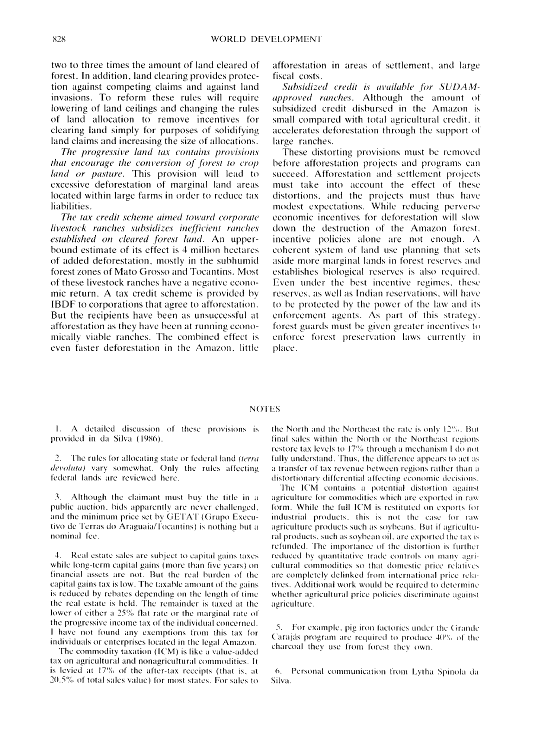**two to three times the amount of land cleared of**  forest. **In addition, land** clearing provides protcction against competing claims and against land invasions. To reform these rules will require lowering of land ceilings and changing the rules of land allocation to remove incentives for clearing land simply for purposes of solidifying land claims and increasing the size of allocations.

*The progressive land tax contains provisions that encourage the conversion of forest to crop land or pasture.* This provision will lead to excessive deforestation of marginal land areas located within large farms in order to reduce tax liabilities.

*The tax credit scheme aimed toward corporate livestock ranches subsidizes inefficient ranches established on cleared forest land.* An upperbound estimate of its effect is 4 million hectares of added deforestation, mostly in the subhumid forest zones of Mate Grosso and Tocantins. Most of these livestock ranches have a negative econo-mic return. A tax credit scheme is provided by IBDF to corporations that agree to afforestation. But the recipients have been as unsuccessful at afforestation as they have been at running economicatly viable ranches. The combined effect is even faster deforestation in the Amazon, little afforestation in areas of settlement, and large fiscal costs.

Subsidized credit is available for SUDAM*approved ranches.* Although the amount of subsidized credit disbursed in the Amazon is small compared with total agricultural credit, it accelerates deforestation through the support ot large ranches.

These distorting provisions must be removed before afforestation projects and programs can succeed. Afforestation and settlement projects must take into account the effect of these distortions, and the projects must thus have modest cxpcctations. While reducing perverse economic incentives for deforestation will slow down the destruction of the Amazon forest, incentive policies alone are not enough.  $A$ coherent system of land use planning that sets aside more marginal lands in forest reserves and establishes biological reserves is also required. Even under the best incentive regimes, these reserves, as well as Indian reservations, will have to bc protected by the power of the law and its enforcement agents. As part of this strategy. forest guards must be given greater incentives to enforce forest preserwttion laws currently in place.

#### NOTES.

1. A detailed discussion of these provisions is provided in da Silva (1986).

2. The rules for allocating state or federal hind *(terra devoluta)* vary somewhat. Only the rules affecting federal lands are reviewed here.

3. Although the claimant must huy the title in a public auction, bids apparently are never challenged, and the minimum price set by GETAT (Grupo Executivo de Terras do Araguaia/Tocantins) is nothing but a nominal fee.

4. Real estate sales are subject to capital gains taxes while long-term capital gains (more than five years) on financial assets are not. But the real burden of the capital gains tax is low. The taxable amount of the gains is reduced by rebates depending on the length of time the real estate is held. The remainder is taxed at the lower of either a 25% flat rate or the marginal rate of the progressive income tax of the individual concerned. I have not found any exemptions from this tax for individuals or enterprises located in the legal Amazon.

The commodity taxation (ICM) is like a value-added tax on agricultural and nonagricultural commodities. It is levied at 17% of the after-tax receipts (that is. at 211.5% ot total sales value) for most statcs. For sales to

the North and the Northeast the rate is only  $12\%$ . But final sales within the North or the Northeast rcgions restore tax levels to  $17\%$  through a mechanism I do not fully understand. Thus, the difference appears to act as a transfer of tax revenue between regions rather than a distortionary differential aflecting economic decisions.

Thc ICM contains a potcntial distortion against agriculture for commodities which are exported in raw form. White the full ICM is restituted on exports Ior industrial products, this is not the case for raw agriculture products such as soybeans. But if agricultural products, such as soybean oil, are exported the tax is refunded. The importance of the distortion is further reduced by quantitative trade controls on many agricultural commodities so that domestic price relatives are completely delinked from international price relatives. Additional work would be required to determine whether agricultural price policies discriminate against agriculture.

5. For example, pig iron factories under the Grande Carajás program are required to produce  $40\%$  of the charcoal they use from forcst they own.

6. Personal communication from Lylha Spmola da Silva.